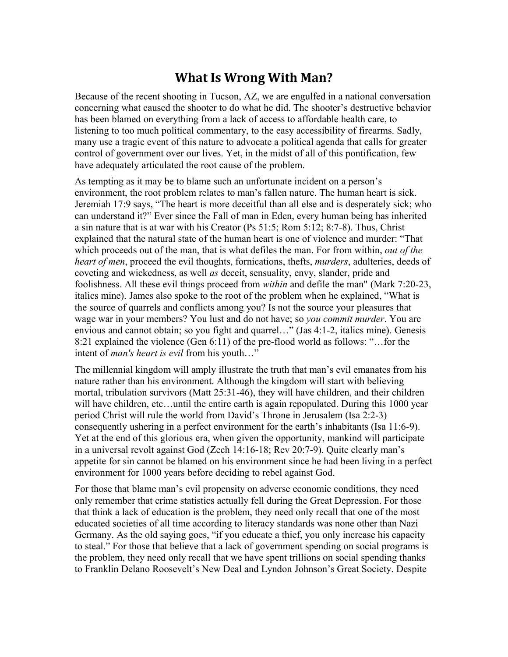## **What Is Wrong With Man?**

Because of the recent shooting in Tucson, AZ, we are engulfed in a national conversation concerning what caused the shooter to do what he did. The shooter's destructive behavior has been blamed on everything from a lack of access to affordable health care, to listening to too much political commentary, to the easy accessibility of firearms. Sadly, many use a tragic event of this nature to advocate a political agenda that calls for greater control of government over our lives. Yet, in the midst of all of this pontification, few have adequately articulated the root cause of the problem.

As tempting as it may be to blame such an unfortunate incident on a person's environment, the root problem relates to man's fallen nature. The human heart is sick. Jeremiah 17:9 says, "The heart is more deceitful than all else and is desperately sick; who can understand it?" Ever since the Fall of man in Eden, every human being has inherited a sin nature that is at war with his Creator (Ps 51:5; Rom 5:12; 8:7-8). Thus, Christ explained that the natural state of the human heart is one of violence and murder: "That which proceeds out of the man, that is what defiles the man. For from within, *out of the heart of men*, proceed the evil thoughts, fornications, thefts, *murders*, adulteries, deeds of coveting and wickedness, as well *as* deceit, sensuality, envy, slander, pride and foolishness. All these evil things proceed from *within* and defile the man" (Mark 7:20-23, italics mine). James also spoke to the root of the problem when he explained, "What is the source of quarrels and conflicts among you? Is not the source your pleasures that wage war in your members? You lust and do not have; so *you commit murder*. You are envious and cannot obtain; so you fight and quarrel…" (Jas 4:1-2, italics mine). Genesis 8:21 explained the violence (Gen 6:11) of the pre-flood world as follows: "…for the intent of *man's heart is evil* from his youth…"

The millennial kingdom will amply illustrate the truth that man's evil emanates from his nature rather than his environment. Although the kingdom will start with believing mortal, tribulation survivors (Matt 25:31-46), they will have children, and their children will have children, etc...until the entire earth is again repopulated. During this 1000 year period Christ will rule the world from David's Throne in Jerusalem (Isa 2:2-3) consequently ushering in a perfect environment for the earth's inhabitants (Isa 11:6-9). Yet at the end of this glorious era, when given the opportunity, mankind will participate in a universal revolt against God (Zech 14:16-18; Rev 20:7-9). Quite clearly man's appetite for sin cannot be blamed on his environment since he had been living in a perfect environment for 1000 years before deciding to rebel against God.

For those that blame man's evil propensity on adverse economic conditions, they need only remember that crime statistics actually fell during the Great Depression. For those that think a lack of education is the problem, they need only recall that one of the most educated societies of all time according to literacy standards was none other than Nazi Germany. As the old saying goes, "if you educate a thief, you only increase his capacity to steal." For those that believe that a lack of government spending on social programs is the problem, they need only recall that we have spent trillions on social spending thanks to Franklin Delano Roosevelt's New Deal and Lyndon Johnson's Great Society. Despite